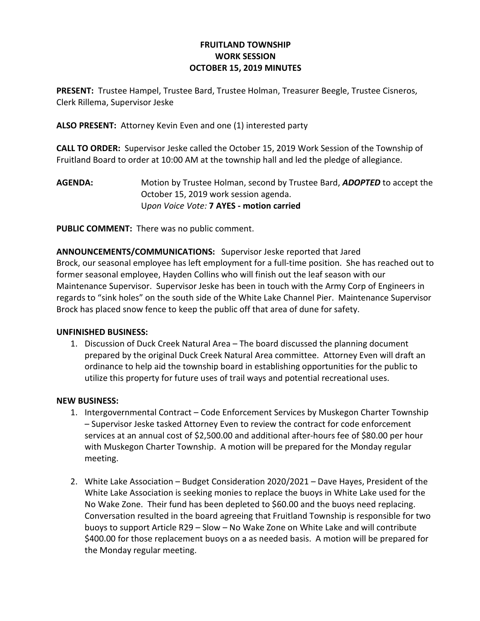## FRUITLAND TOWNSHIP WORK SESSION OCTOBER 15, 2019 MINUTES

PRESENT: Trustee Hampel, Trustee Bard, Trustee Holman, Treasurer Beegle, Trustee Cisneros, Clerk Rillema, Supervisor Jeske

ALSO PRESENT: Attorney Kevin Even and one (1) interested party

CALL TO ORDER: Supervisor Jeske called the October 15, 2019 Work Session of the Township of Fruitland Board to order at 10:00 AM at the township hall and led the pledge of allegiance.

AGENDA: Motion by Trustee Holman, second by Trustee Bard, ADOPTED to accept the October 15, 2019 work session agenda. Upon Voice Vote: 7 AYES - motion carried

PUBLIC COMMENT: There was no public comment.

ANNOUNCEMENTS/COMMUNICATIONS: Supervisor Jeske reported that Jared Brock, our seasonal employee has left employment for a full-time position. She has reached out to former seasonal employee, Hayden Collins who will finish out the leaf season with our Maintenance Supervisor. Supervisor Jeske has been in touch with the Army Corp of Engineers in regards to "sink holes" on the south side of the White Lake Channel Pier. Maintenance Supervisor Brock has placed snow fence to keep the public off that area of dune for safety.

## UNFINISHED BUSINESS:

1. Discussion of Duck Creek Natural Area – The board discussed the planning document prepared by the original Duck Creek Natural Area committee. Attorney Even will draft an ordinance to help aid the township board in establishing opportunities for the public to utilize this property for future uses of trail ways and potential recreational uses.

## NEW BUSINESS:

- 1. Intergovernmental Contract Code Enforcement Services by Muskegon Charter Township – Supervisor Jeske tasked Attorney Even to review the contract for code enforcement services at an annual cost of \$2,500.00 and additional after-hours fee of \$80.00 per hour with Muskegon Charter Township. A motion will be prepared for the Monday regular meeting.
- 2. White Lake Association Budget Consideration 2020/2021 Dave Hayes, President of the White Lake Association is seeking monies to replace the buoys in White Lake used for the No Wake Zone. Their fund has been depleted to \$60.00 and the buoys need replacing. Conversation resulted in the board agreeing that Fruitland Township is responsible for two buoys to support Article R29 – Slow – No Wake Zone on White Lake and will contribute \$400.00 for those replacement buoys on a as needed basis. A motion will be prepared for the Monday regular meeting.